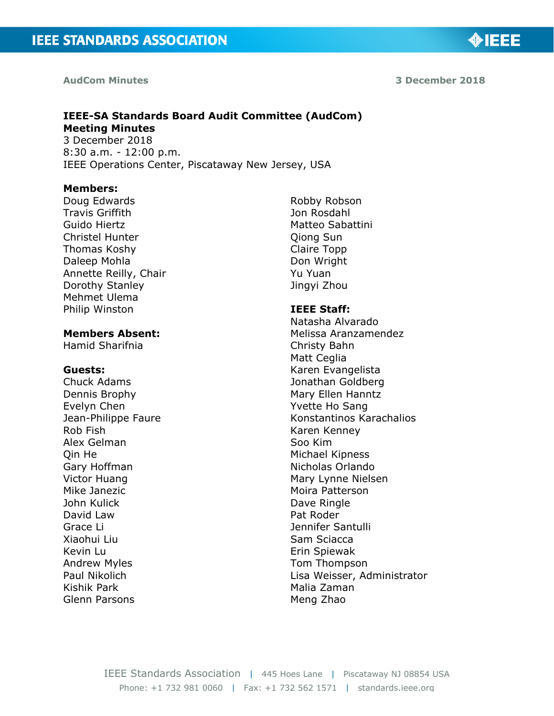#### **AudCom Minutes**

**3 December 2018**

◈IEEE

# **IEEE-SA Standards Board Audit Committee (AudCom) Meeting Minutes**

3 December 2018 8:30 a.m. - 12:00 p.m. IEEE Operations Center, Piscataway New Jersey, USA

#### **Members:**

Doug Edwards Travis Griffith Guido Hiertz Christel Hunter Thomas Koshy Daleep Mohla Annette Reilly, Chair Dorothy Stanley Mehmet Ulema Philip Winston

### **Members Absent:**

Hamid Sharifnia

#### **Guests:**

Chuck Adams Dennis Brophy Evelyn Chen Jean-Philippe Faure Rob Fish Alex Gelman Qin He Gary Hoffman Victor Huang Mike Janezic John Kulick David Law Grace Li Xiaohui Liu Kevin Lu Andrew Myles Paul Nikolich Kishik Park Glenn Parsons

Robby Robson Jon Rosdahl Matteo Sabattini Qiong Sun Claire Topp Don Wright Yu Yuan Jingyi Zhou

#### **IEEE Staff:**

Natasha Alvarado Melissa Aranzamendez Christy Bahn Matt Ceglia Karen Evangelista Jonathan Goldberg Mary Ellen Hanntz Yvette Ho Sang Konstantinos Karachalios Karen Kenney Soo Kim Michael Kipness Nicholas Orlando Mary Lynne Nielsen Moira Patterson Dave Ringle Pat Roder Jennifer Santulli Sam Sciacca Erin Spiewak Tom Thompson Lisa Weisser, Administrator Malia Zaman Meng Zhao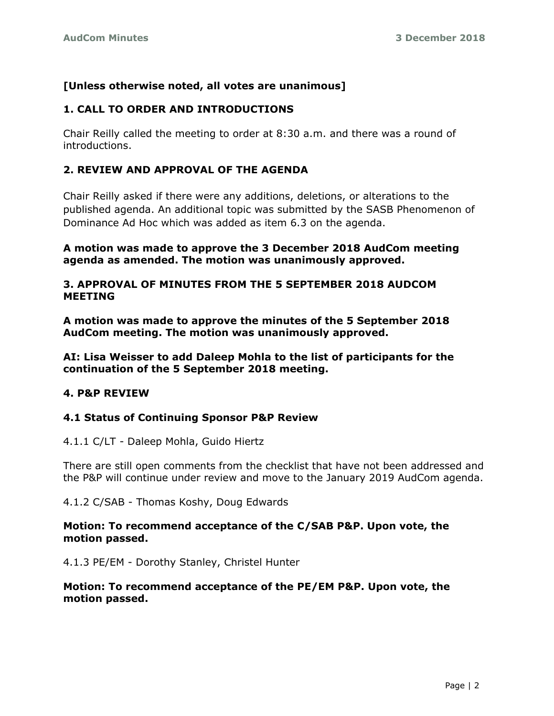## **[Unless otherwise noted, all votes are unanimous]**

### **1. CALL TO ORDER AND INTRODUCTIONS**

Chair Reilly called the meeting to order at 8:30 a.m. and there was a round of introductions.

## **2. REVIEW AND APPROVAL OF THE AGENDA**

Chair Reilly asked if there were any additions, deletions, or alterations to the published agenda. An additional topic was submitted by the SASB Phenomenon of Dominance Ad Hoc which was added as item 6.3 on the agenda.

**A motion was made to approve the 3 December 2018 AudCom meeting agenda as amended. The motion was unanimously approved.**

#### **3. APPROVAL OF MINUTES FROM THE 5 SEPTEMBER 2018 AUDCOM MEETING**

**A motion was made to approve the minutes of the 5 September 2018 AudCom meeting. The motion was unanimously approved.**

**AI: Lisa Weisser to add Daleep Mohla to the list of participants for the continuation of the 5 September 2018 meeting.**

#### **4. P&P REVIEW**

#### **4.1 Status of Continuing Sponsor P&P Review**

#### 4.1.1 C/LT - Daleep Mohla, Guido Hiertz

There are still open comments from the checklist that have not been addressed and the P&P will continue under review and move to the January 2019 AudCom agenda.

4.1.2 C/SAB - Thomas Koshy, Doug Edwards

#### **Motion: To recommend acceptance of the C/SAB P&P. Upon vote, the motion passed.**

4.1.3 PE/EM - Dorothy Stanley, Christel Hunter

#### **Motion: To recommend acceptance of the PE/EM P&P. Upon vote, the motion passed.**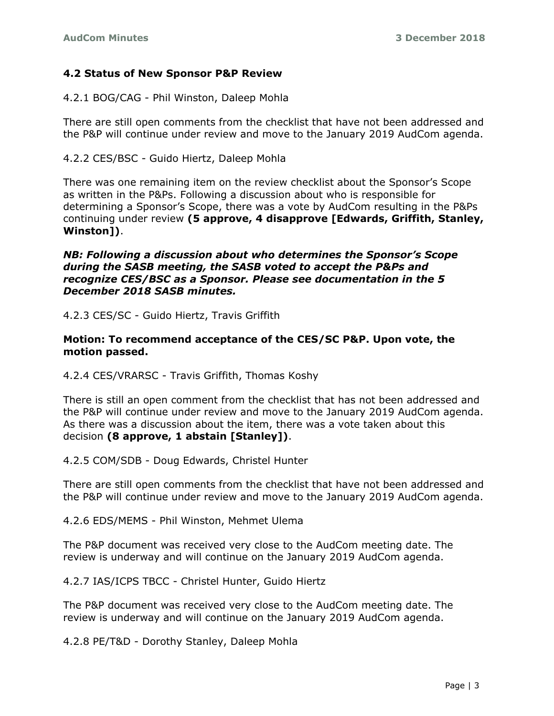### **4.2 Status of New Sponsor P&P Review**

4.2.1 BOG/CAG - Phil Winston, Daleep Mohla

There are still open comments from the checklist that have not been addressed and the P&P will continue under review and move to the January 2019 AudCom agenda.

4.2.2 CES/BSC - Guido Hiertz, Daleep Mohla

There was one remaining item on the review checklist about the Sponsor's Scope as written in the P&Ps. Following a discussion about who is responsible for determining a Sponsor's Scope, there was a vote by AudCom resulting in the P&Ps continuing under review **(5 approve, 4 disapprove [Edwards, Griffith, Stanley, Winston])**.

*NB: Following a discussion about who determines the Sponsor's Scope during the SASB meeting, the SASB voted to accept the P&Ps and recognize CES/BSC as a Sponsor. Please see documentation in the 5 December 2018 SASB minutes.*

4.2.3 CES/SC - Guido Hiertz, Travis Griffith

#### **Motion: To recommend acceptance of the CES/SC P&P. Upon vote, the motion passed.**

4.2.4 CES/VRARSC - Travis Griffith, Thomas Koshy

There is still an open comment from the checklist that has not been addressed and the P&P will continue under review and move to the January 2019 AudCom agenda. As there was a discussion about the item, there was a vote taken about this decision **(8 approve, 1 abstain [Stanley])**.

4.2.5 COM/SDB - Doug Edwards, Christel Hunter

There are still open comments from the checklist that have not been addressed and the P&P will continue under review and move to the January 2019 AudCom agenda.

4.2.6 EDS/MEMS - Phil Winston, Mehmet Ulema

The P&P document was received very close to the AudCom meeting date. The review is underway and will continue on the January 2019 AudCom agenda.

4.2.7 IAS/ICPS TBCC - Christel Hunter, Guido Hiertz

The P&P document was received very close to the AudCom meeting date. The review is underway and will continue on the January 2019 AudCom agenda.

4.2.8 PE/T&D - Dorothy Stanley, Daleep Mohla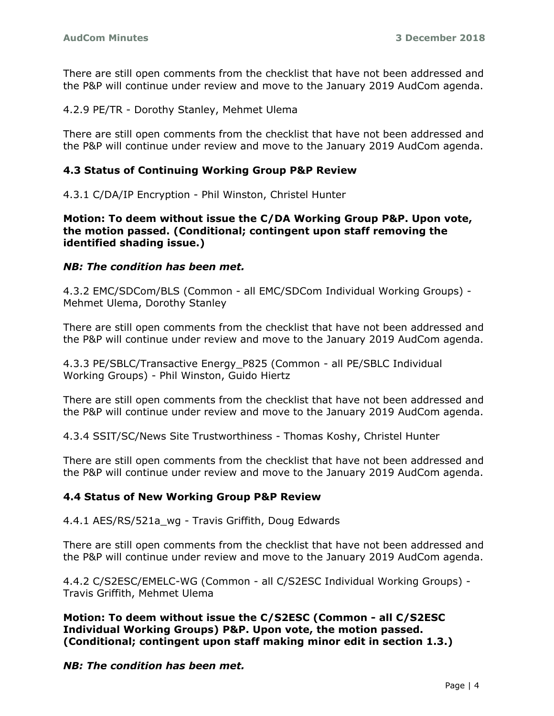There are still open comments from the checklist that have not been addressed and the P&P will continue under review and move to the January 2019 AudCom agenda.

4.2.9 PE/TR - Dorothy Stanley, Mehmet Ulema

There are still open comments from the checklist that have not been addressed and the P&P will continue under review and move to the January 2019 AudCom agenda.

### **4.3 Status of Continuing Working Group P&P Review**

4.3.1 C/DA/IP Encryption - Phil Winston, Christel Hunter

**Motion: To deem without issue the C/DA Working Group P&P. Upon vote, the motion passed. (Conditional; contingent upon staff removing the identified shading issue.)**

#### *NB: The condition has been met.*

4.3.2 EMC/SDCom/BLS (Common - all EMC/SDCom Individual Working Groups) - Mehmet Ulema, Dorothy Stanley

There are still open comments from the checklist that have not been addressed and the P&P will continue under review and move to the January 2019 AudCom agenda.

4.3.3 PE/SBLC/Transactive Energy\_P825 (Common - all PE/SBLC Individual Working Groups) - Phil Winston, Guido Hiertz

There are still open comments from the checklist that have not been addressed and the P&P will continue under review and move to the January 2019 AudCom agenda.

4.3.4 SSIT/SC/News Site Trustworthiness - Thomas Koshy, Christel Hunter

There are still open comments from the checklist that have not been addressed and the P&P will continue under review and move to the January 2019 AudCom agenda.

#### **4.4 Status of New Working Group P&P Review**

4.4.1 AES/RS/521a\_wg - Travis Griffith, Doug Edwards

There are still open comments from the checklist that have not been addressed and the P&P will continue under review and move to the January 2019 AudCom agenda.

4.4.2 C/S2ESC/EMELC-WG (Common - all C/S2ESC Individual Working Groups) - Travis Griffith, Mehmet Ulema

**Motion: To deem without issue the C/S2ESC (Common - all C/S2ESC Individual Working Groups) P&P. Upon vote, the motion passed. (Conditional; contingent upon staff making minor edit in section 1.3.)**

*NB: The condition has been met.*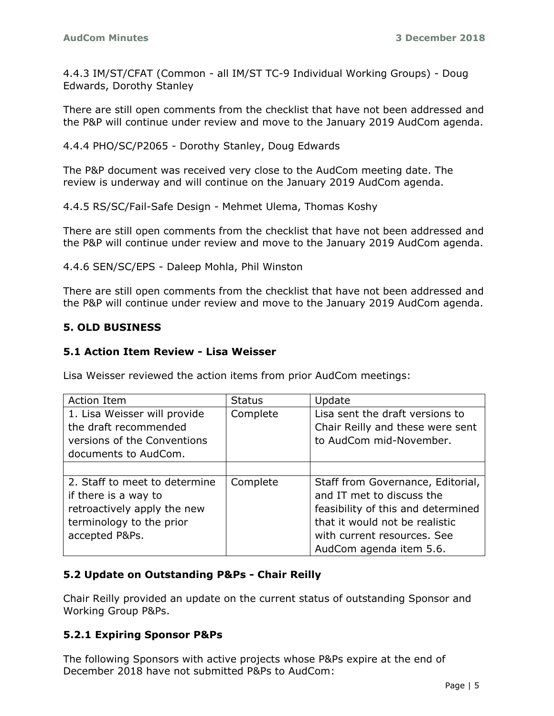4.4.3 IM/ST/CFAT (Common - all IM/ST TC-9 Individual Working Groups) - Doug Edwards, Dorothy Stanley

There are still open comments from the checklist that have not been addressed and the P&P will continue under review and move to the January 2019 AudCom agenda.

4.4.4 PHO/SC/P2065 - Dorothy Stanley, Doug Edwards

The P&P document was received very close to the AudCom meeting date. The review is underway and will continue on the January 2019 AudCom agenda.

4.4.5 RS/SC/Fail-Safe Design - Mehmet Ulema, Thomas Koshy

There are still open comments from the checklist that have not been addressed and the P&P will continue under review and move to the January 2019 AudCom agenda.

4.4.6 SEN/SC/EPS - Daleep Mohla, Phil Winston

There are still open comments from the checklist that have not been addressed and the P&P will continue under review and move to the January 2019 AudCom agenda.

#### **5. OLD BUSINESS**

#### **5.1 Action Item Review - Lisa Weisser**

Lisa Weisser reviewed the action items from prior AudCom meetings:

| <b>Action Item</b>            | <b>Status</b> | Update                             |
|-------------------------------|---------------|------------------------------------|
| 1. Lisa Weisser will provide  | Complete      | Lisa sent the draft versions to    |
| the draft recommended         |               | Chair Reilly and these were sent   |
| versions of the Conventions   |               | to AudCom mid-November.            |
| documents to AudCom.          |               |                                    |
|                               |               |                                    |
| 2. Staff to meet to determine | Complete      | Staff from Governance, Editorial,  |
| if there is a way to          |               | and IT met to discuss the          |
| retroactively apply the new   |               | feasibility of this and determined |
| terminology to the prior      |               | that it would not be realistic     |
| accepted P&Ps.                |               | with current resources. See        |
|                               |               | AudCom agenda item 5.6.            |

### **5.2 Update on Outstanding P&Ps - Chair Reilly**

Chair Reilly provided an update on the current status of outstanding Sponsor and Working Group P&Ps.

### **5.2.1 Expiring Sponsor P&Ps**

The following Sponsors with active projects whose P&Ps expire at the end of December 2018 have not submitted P&Ps to AudCom: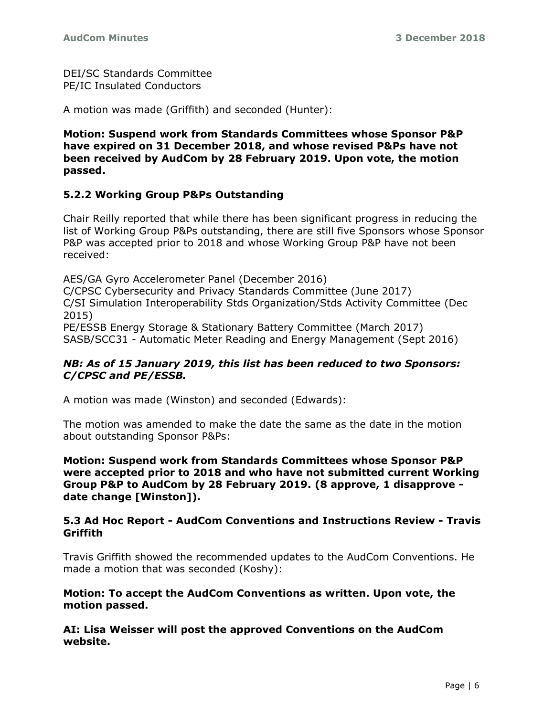DEI/SC Standards Committee PE/IC Insulated Conductors

A motion was made (Griffith) and seconded (Hunter):

**Motion: Suspend work from Standards Committees whose Sponsor P&P have expired on 31 December 2018, and whose revised P&Ps have not been received by AudCom by 28 February 2019. Upon vote, the motion passed.**

### **5.2.2 Working Group P&Ps Outstanding**

Chair Reilly reported that while there has been significant progress in reducing the list of Working Group P&Ps outstanding, there are still five Sponsors whose Sponsor P&P was accepted prior to 2018 and whose Working Group P&P have not been received:

AES/GA Gyro Accelerometer Panel (December 2016) C/CPSC Cybersecurity and Privacy Standards Committee (June 2017) C/SI Simulation Interoperability Stds Organization/Stds Activity Committee (Dec 2015) PE/ESSB Energy Storage & Stationary Battery Committee (March 2017)

SASB/SCC31 - Automatic Meter Reading and Energy Management (Sept 2016)

### *NB: As of 15 January 2019, this list has been reduced to two Sponsors: C/CPSC and PE/ESSB.*

A motion was made (Winston) and seconded (Edwards):

The motion was amended to make the date the same as the date in the motion about outstanding Sponsor P&Ps:

**Motion: Suspend work from Standards Committees whose Sponsor P&P were accepted prior to 2018 and who have not submitted current Working Group P&P to AudCom by 28 February 2019. (8 approve, 1 disapprove date change [Winston]).**

### **5.3 Ad Hoc Report - AudCom Conventions and Instructions Review - Travis Griffith**

Travis Griffith showed the recommended updates to the AudCom Conventions. He made a motion that was seconded (Koshy):

**Motion: To accept the AudCom Conventions as written. Upon vote, the motion passed.**

**AI: Lisa Weisser will post the approved Conventions on the AudCom website.**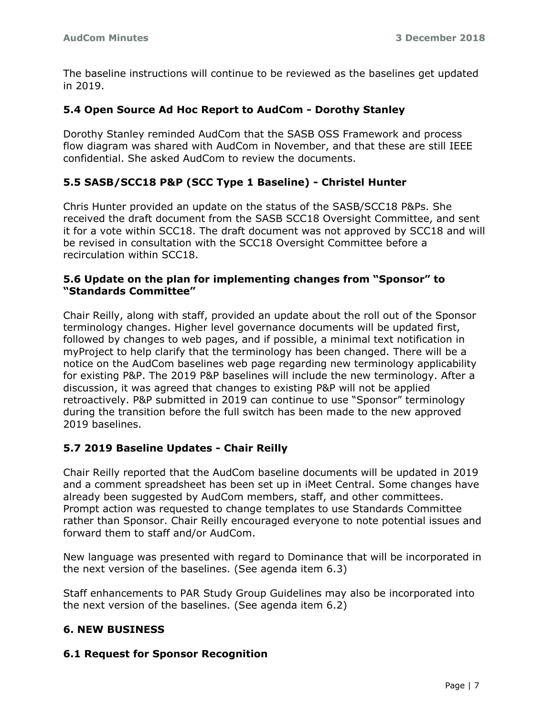The baseline instructions will continue to be reviewed as the baselines get updated in 2019.

### **5.4 Open Source Ad Hoc Report to AudCom - Dorothy Stanley**

Dorothy Stanley reminded AudCom that the SASB OSS Framework and process flow diagram was shared with AudCom in November, and that these are still IEEE confidential. She asked AudCom to review the documents.

## **5.5 SASB/SCC18 P&P (SCC Type 1 Baseline) - Christel Hunter**

Chris Hunter provided an update on the status of the SASB/SCC18 P&Ps. She received the draft document from the SASB SCC18 Oversight Committee, and sent it for a vote within SCC18. The draft document was not approved by SCC18 and will be revised in consultation with the SCC18 Oversight Committee before a recirculation within SCC18.

### **5.6 Update on the plan for implementing changes from "Sponsor" to "Standards Committee"**

Chair Reilly, along with staff, provided an update about the roll out of the Sponsor terminology changes. Higher level governance documents will be updated first, followed by changes to web pages, and if possible, a minimal text notification in myProject to help clarify that the terminology has been changed. There will be a notice on the AudCom baselines web page regarding new terminology applicability for existing P&P. The 2019 P&P baselines will include the new terminology. After a discussion, it was agreed that changes to existing P&P will not be applied retroactively. P&P submitted in 2019 can continue to use "Sponsor" terminology during the transition before the full switch has been made to the new approved 2019 baselines.

### **5.7 2019 Baseline Updates - Chair Reilly**

Chair Reilly reported that the AudCom baseline documents will be updated in 2019 and a comment spreadsheet has been set up in iMeet Central. Some changes have already been suggested by AudCom members, staff, and other committees. Prompt action was requested to change templates to use Standards Committee rather than Sponsor. Chair Reilly encouraged everyone to note potential issues and forward them to staff and/or AudCom.

New language was presented with regard to Dominance that will be incorporated in the next version of the baselines. (See agenda item 6.3)

Staff enhancements to PAR Study Group Guidelines may also be incorporated into the next version of the baselines. (See agenda item 6.2)

# **6. NEW BUSINESS**

### **6.1 Request for Sponsor Recognition**